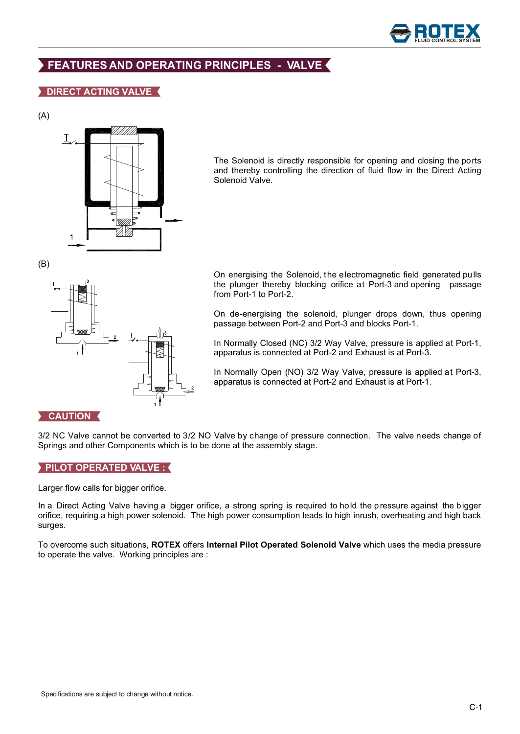

# **FEATURES AND OPERATING PRINCIPLES - VALVE**

# **DIRECT ACTING VALVE**





The Solenoid is directly responsible for opening and closing the ports and thereby controlling the direction of fluid flow in the Direct Acting Solenoid Valve.

(B)



On energising the Solenoid, the electromagnetic field generated pulls the plunger thereby blocking orifice at Port-3 and opening passage from Port-1 to Port-2.

On de-energising the solenoid, plunger drops down, thus opening passage between Port-2 and Port-3 and blocks Port-1.

In Normally Closed (NC) 3/2 Way Valve, pressure is applied at Port-1, apparatus is connected at Port-2 and Exhaust is at Port-3.

In Normally Open (NO) 3/2 Way Valve, pressure is applied at Port-3, apparatus is connected at Port-2 and Exhaust is at Port-1.

## **CAUTION**

3/2 NC Valve cannot be converted to 3/2 NO Valve by change of pressure connection. The valve needs change of Springs and other Components which is to be done at the assembly stage.

## **PILOT OPERATED VALVE :**

Larger flow calls for bigger orifice.

In a Direct Acting Valve having a bigger orifice, a strong spring is required to hold the pressure against the bigger orifice, requiring a high power solenoid. The high power consumption leads to high inrush, overheating and high back surges.

To overcome such situations, **ROTEX** offers **Internal Pilot Operated Solenoid Valve** which uses the media pressure to operate the valve. Working principles are :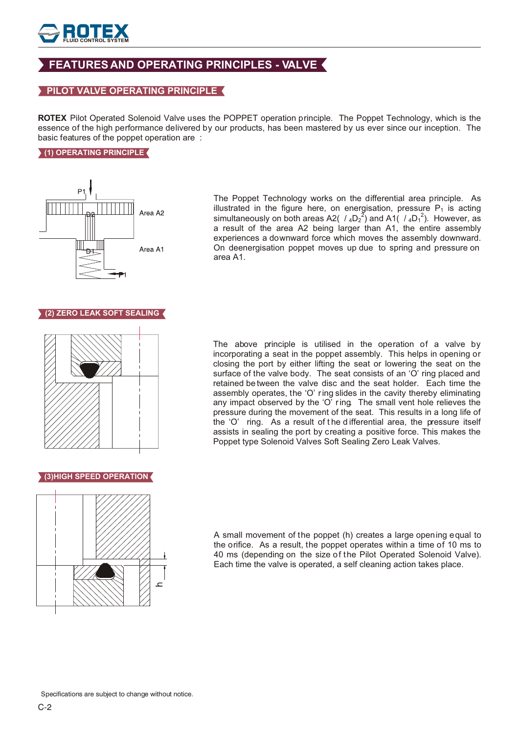

# **FEATURES AND OPERATING PRINCIPLES - VALVE**

## **PILOT VALVE OPERATING PRINCIPLE**

**ROTEX** Pilot Operated Solenoid Valve uses the POPPET operation principle. The Poppet Technology, which is the essence of the high performance delivered by our products, has been mastered by us ever since our inception. The basic features of the poppet operation are :

#### **(1) OPERATING PRINCIPLE**



The Poppet Technology works on the differential area principle. As illustrated in the figure here, on energisation, pressure  $P_1$  is acting simultaneously on both areas A2(  $/$  <sub>4</sub>D<sub>2</sub><sup>2</sup>) and A1(  $/$  <sub>4</sub>D<sub>1</sub><sup>2</sup>). However, as a result of the area A2 being larger than A1, the entire assembly experiences a downward force which moves the assembly downward. On deenergisation poppet moves up due to spring and pressure on area A1.

## **(2) ZERO LEAK SOFT SEALING**



The above principle is utilised in the operation of a valve by incorporating a seat in the poppet assembly. This helps in opening or closing the port by either lifting the seat or lowering the seat on the surface of the valve body. The seat consists of an 'O' ring placed and retained be tween the valve disc and the seat holder. Each time the assembly operates, the 'O' ring slides in the cavity thereby eliminating any impact observed by the 'O' ring. The small vent hole relieves the pressure during the movement of the seat. This results in a long life of the 'O' ring. As a result of t he d ifferential area, the pressure itself assists in sealing the port by creating a positive force. This makes the Poppet type Solenoid Valves Soft Sealing Zero Leak Valves.

#### **(3)HIGH SPEED OPERATION**



A small movement of the poppet (h) creates a large opening equal to the orifice. As a result, the poppet operates within a time of 10 ms to 40 ms (depending on the size of the Pilot Operated Solenoid Valve). Each time the valve is operated, a self cleaning action takes place.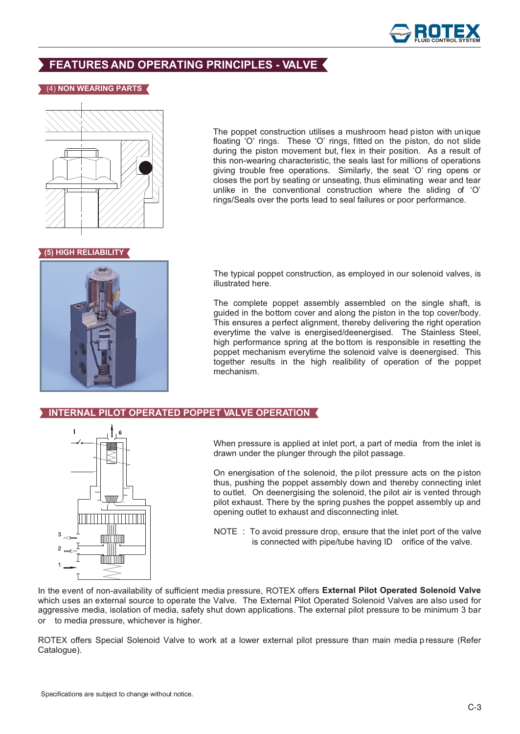

# **FEATURES AND OPERATING PRINCIPLES - VALVE**

#### (4) **NON WEARING PARTS**



The poppet construction utilises a mushroom head piston with unique floating 'O' rings. These 'O' rings, fitted on the piston, do not slide during the piston movement but, flex in their position. As a result of this non-wearing characteristic, the seals last for millions of operations giving trouble free operations. Similarly, the seat 'O' ring opens or closes the port by seating or unseating, thus eliminating wear and tear unlike in the conventional construction where the sliding of 'O' rings/Seals over the ports lead to seal failures or poor performance.

## **(5) HIGH RELIABILITY**



The typical poppet construction, as employed in our solenoid valves, is illustrated here.

The complete poppet assembly assembled on the single shaft, is guided in the bottom cover and along the piston in the top cover/body. This ensures a perfect alignment, thereby delivering the right operation everytime the valve is energised/deenergised. The Stainless Steel, high performance spring at the bo ttom is responsible in resetting the poppet mechanism everytime the solenoid valve is deenergised. This together results in the high realibility of operation of the poppet mechanism.

#### **INTERNAL PILOT OPERATED POPPET VALVE OPERATION**



When pressure is applied at inlet port, a part of media from the inlet is drawn under the plunger through the pilot passage.

On energisation of the solenoid, the pilot pressure acts on the piston thus, pushing the poppet assembly down and thereby connecting inlet to outlet. On deenergising the solenoid, the pilot air is vented through pilot exhaust. There by the spring pushes the poppet assembly up and opening outlet to exhaust and disconnecting inlet.

NOTE : To avoid pressure drop, ensure that the inlet port of the valve is connected with pipe/tube having ID orifice of the valve.

In the event of non-availability of sufficient media pressure, ROTEX offers **External Pilot Operated Solenoid Valve** which uses an external source to operate the Valve. The External Pilot Operated Solenoid Valves are also used for aggressive media, isolation of media, safety shut down applications. The external pilot pressure to be minimum 3 bar or to media pressure, whichever is higher.

ROTEX offers Special Solenoid Valve to work at a lower external pilot pressure than main media p ressure (Refer Catalogue).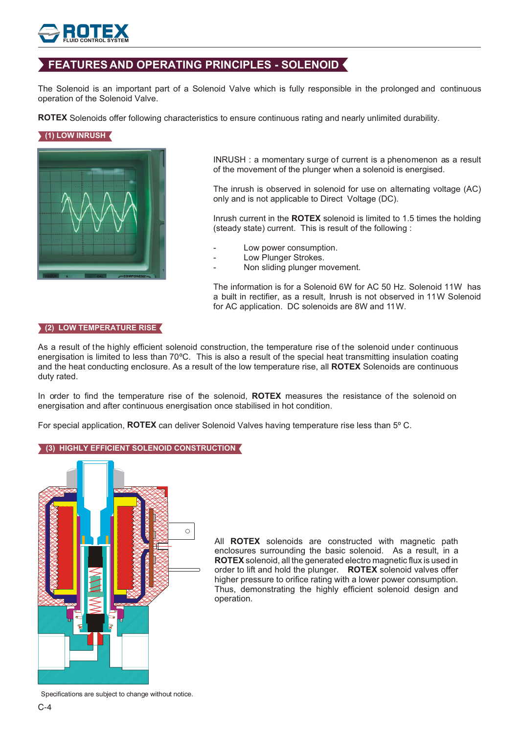# **FLUID CONTROL SYSTEM**

# **FEATURES AND OPERATING PRINCIPLES - SOLENOID**

The Solenoid is an important part of a Solenoid Valve which is fully responsible in the prolonged and continuous operation of the Solenoid Valve.

**ROTEX** Solenoids offer following characteristics to ensure continuous rating and nearly unlimited durability.

# **(1) LOW INRUSH**



INRUSH : a momentary surge of current is a phenomenon as a result of the movement of the plunger when a solenoid is energised.

The inrush is observed in solenoid for use on alternating voltage (AC) only and is not applicable to Direct Voltage (DC).

Inrush current in the **ROTEX** solenoid is limited to 1.5 times the holding (steady state) current. This is result of the following :

- Low power consumption.
- Low Plunger Strokes.
- Non sliding plunger movement.

The information is for a Solenoid 6W for AC 50 Hz. Solenoid 11W has a built in rectifier, as a result, Inrush is not observed in 11W Solenoid for AC application. DC solenoids are 8W and 11W.

#### **(2) LOW TEMPERATURE RISE**

As a result of the highly efficient solenoid construction, the temperature rise of the solenoid under continuous energisation is limited to less than 70ºC. This is also a result of the special heat transmitting insulation coating and the heat conducting enclosure. As a result of the low temperature rise, all **ROTEX** Solenoids are continuous duty rated.

In order to find the temperature rise of the solenoid, **ROTEX** measures the resistance of the solenoid on energisation and after continuous energisation once stabilised in hot condition.

For special application, **ROTEX** can deliver Solenoid Valves having temperature rise less than 5º C.

#### **(3) HIGHLY EFFICIENT SOLENOID CONSTRUCTION**



All **ROTEX** solenoids are constructed with magnetic path enclosures surrounding the basic solenoid. As a result, in a **ROTEX** solenoid, all the generated electro magnetic flux is used in order to lift and hold the plunger. **ROTEX** solenoid valves offer higher pressure to orifice rating with a lower power consumption. Thus, demonstrating the highly efficient solenoid design and operation.

Specifications are subject to change without notice.